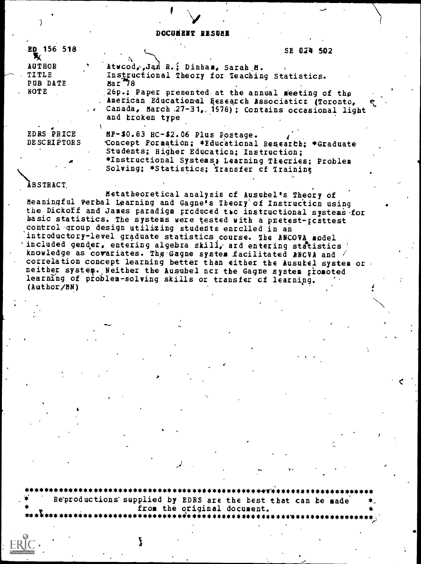## DOCUMENT RESUME

| ED 156 518<br>Х    |                                                                                                             | SE 024 502 |
|--------------------|-------------------------------------------------------------------------------------------------------------|------------|
| <b>AUTHOR</b>      | Atwood, Jan R.; Dinham, Sarah M.                                                                            |            |
| TITLE<br>PUB DATE  | Instructional Theory for Teaching Statistics.<br>Mar <sub>78</sub>                                          |            |
| NOTE               | 26p.; Paper presented at the annual meeting of the<br>. American Educational Eesearch Associaticr (Toronto, |            |
|                    | Canada, March 27-31, 1978); Contains occasional light<br>and broken type                                    |            |
| EDRS PRICE         | $MF-$0.83$ HC-\$2.06 Plus Postage.                                                                          |            |
| <b>DESCRIPTORS</b> | Concept Formation; *Educational Research; *Graduate                                                         |            |
|                    | Students; Higher Education; Instruction;                                                                    |            |
|                    | *Instructional Systems; Learning Thecries; Problem<br>Solving: *Statistics; Transfer of Training            |            |

### **ÃBSTRACT**

Metatheoretical analysis of Ausubel's Theory of Meaningful Verbal Learning and Gagne's Theory of Instruction using the Dickoff and James paradigm produced to instructional systems for basic statistics. The systems were tested with a pretest-posttest control group design utilizing students enrolled in an introductory-level graduate statistics course. The ANCOVA model included gender, entering algebra skill, and entering statistics knowledge as covariates. The Gagne system facilitated ANCVA and / correlation concept learning better than either the Ausubel system or neither system. Neither the Ausubel ncr the Gagne system promoted learning of problem-solving skills or transfer of learning.  $(Author/NN)$ 

Reproductions supplied by EDRS are the best that can be made from the original document.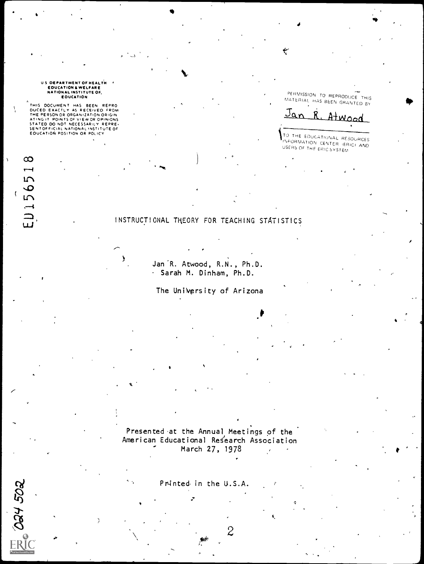# U S DEPARTMENT OF HEALTH<br>EDUCATION & WELFARE<br>NATIONAL INSTITUTE OF,<br>EDUCATION

THIS DOCUMENT HAS BEEN REPRO<br>DUCED EXACTLY AS RECEIVED FROM<br>THE PERSONOR ORGANIZATION ORIGIN<br>ATING IT POINTS OF VIEW OR OPINIONS<br>STATED DO NOT NECESSARILY REPRE-<br>SENTOFFICIAL NATIONAL VISTITUTE OF<br>EOUCATION POSITION OR POL

 $\infty$ 

 $\overline{\phantom{0}}$ 

 $E115651$ 

Ń

ER 024 502

PERMISSION TO REPRODUCE THIS<br>MATERIAL HAS BEEN GRANTED BY

۳

Jan  $\mathbf{R}$ . Atwood

TO THE EDUCATIONAL RESOURCES INFORMATION CENTER IERICI AND USERS OF THE ERIC SYSTEM

# INSTRUCTIONAL THEORY FOR TEACHING STATISTICS

AAR.

y

Jan<sup>'R</sup>. Atwood, R.N., Ph.D. Sarah M. Dinham, Ph.D.

The UniVgrsity of Arizona

Presented at the Annual Meetings of the American Educational Research Association March 27, 1978

Pr4nte& in the U.S.A.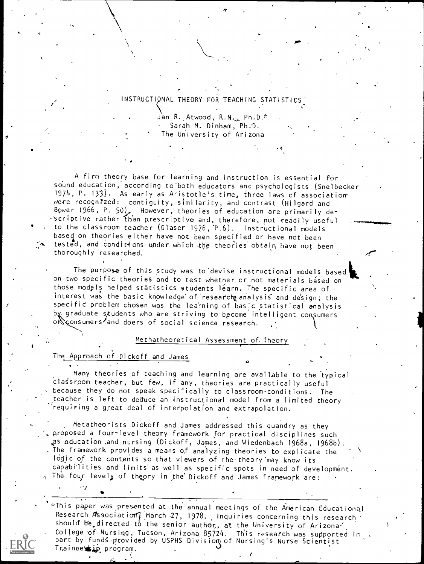# INSTRUCTIONAL THEORY FOR TEACHING STATISTICS

OF .

Jan R. Atwood, R.N., Ph.D.\* Sarah M. Dinham, Ph:D. The University of Arizona

A firm theory base for learning and instruction is essential for sound education, according to'both educators and psychologists (Snelbecker 1974, P. 133). As early as Aristotle's time, three laws of association' were recognized: contiguity, similarity, and contrast (Hilgard and Bower 1966, P. 50), However, theories of education are primarily de-  $\cdot$  scriptive rather than prescriptive and, therefore, not readily useful to the classroom teacher (Glaser 1976, 'P.6). Instructional models based on theories either have not been specified or have not been tested, and conditions under which the theories obtain have not been thoroughly researched.

The purpose of this study was to devise instructional models based on two specific theories and to test whether or not materials based on those models helped statistics students learn. The specific area of interest was the basic knowledge of research analysis and design; the specific problem chosen was the learning of basic statistical analysis by graduate students who are striving to become intelligent consumers onsumers1and doers of social science research.

#### Methatheoretical Assessment of. Theory

# The Approach of Dickoff and James

 $\overline{\phantom{a}}$ 

Many theories of teaching and learning are available to the typical clasroom teacher, but few, if any, theories are practically useful because they do not speak specifically to classroom conditions. The teacher is left to deduce an instructional model from a limited theory requiring a great deal of interpolation and extrapolation.

Metatheorists Dickoff and James addressed this quandry as they proposed a four-level theory framework for practical disciplines such as aducation .and nursing (Dickoff, James, and Wiedenbach 1968a, 1968b). The framework provides a means of analyzing theories to explicate the logic of the contents so that viewers of the theory'may know its 'capabi'lities and limits' as well as specific spots in need of development.  $_\gamma$  The four levels of theory in the Dickoff and James framework are:  $\phantom{1} \cdot$ 

-This paper was presented at the annual meetings of the American Educational Research Association] March -27, 1978. Inquiries concerning this research should be directed to the senior author, at the University of Arizona'<sub>s</sub><br>College of Nursing, Tucson, Arizona 85724. This research was supported in part by funds provided by USPHS Division of Nursing's Nurse Scientist Traineeship program.

e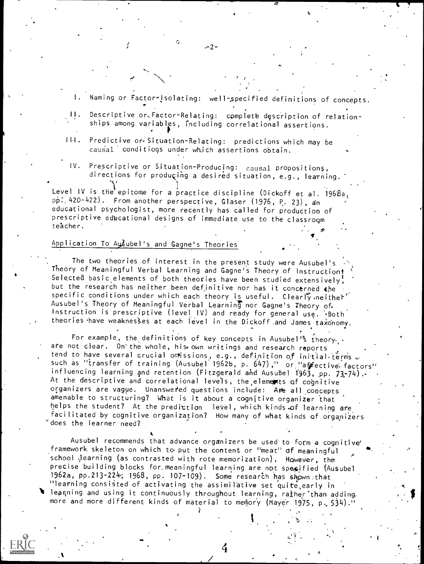- I. Naming or Factor-Isolating: well-,specified definitions of concepts.
- Descriptive or Factor-Relating: complete description of relationships among variables, including correlational assertions.

 $-2-$ 

Predictive or-Situation-Relating: predictions which may be  $111.$ causal conditions under which assertions obtain.

 $\sim$ 

IV. Prescriptive or Situation-Producing: causal Propositions, directions for producing a desired situation, e.g., learning.

Level IV is the epitome for a practice discipline (Dickoff et al. 1968a,  $p\dot{p}$ : 420-422). From another perspective, Glaser (1976, P. 23), an educational psychologist, more recently has called for production of prescriptive educational designs of immediate use to the classroom teacher.

# Application To Ausubel's and Gagne's Theories

Me

The two theories of interest in the present study were Ausubel's Theory of Meaningful Verbal Learning and Gagne's Theory of Instruction! Selected basic elements of both theories have been studied extensively! but the research has neither been definitive nor has it concerned the specific conditions under which each theory is useful. Clearly neither' Ausubel's Theory of Meaningful Verbal Learning nor Gagne's Theory of. Instruction is prescriptive (level IV) and ready for general use. '-Both' theories have weaknesses at each level in the Dickoff and James taxonomy.

For example, the definitions of key concepts in Ausubel<sup>1</sup>'s theory,. are not clear. On the whole, his own writings and research reports tend to have several crucial omissions, e.g., definition of initial terms  $\overline{\mathcal{L}}$ such as "transfer of training (Ausubel 1962b, p. 647)," or "affective. factors" influencing learning and retention (Fitzgerald and Ausubel 1963, pp. 73-74). At the descriptive and correlational levels, the elements of cognitive organizers are vague. Unanswered questions include: Are all concepts amenable to structuring? What is it about a cognitive organizer that helps the student? At the prediction level, which kinds of learning are facilitated by cognitive organization? How many of what kinds of organizers 'does the learner need?

Ausubel recommends that advance organizers be used to form a cognitive' framework skeleton on which to put the content or "meat" of meaningful school Jearning (as contrasted with rote memorization), However, the precise building blocks for meaningful learning are not specified (Ausubel 1962a, pp.213-224; 1968, pp. 107-109). Some research has shown, that "learning consisted of activating the assimilative set quite,early in I leamning and using it continuously throughout learning, raiher than adding, more and more different kinds of material to memory (Mayer 1975, p. 534)."

4

?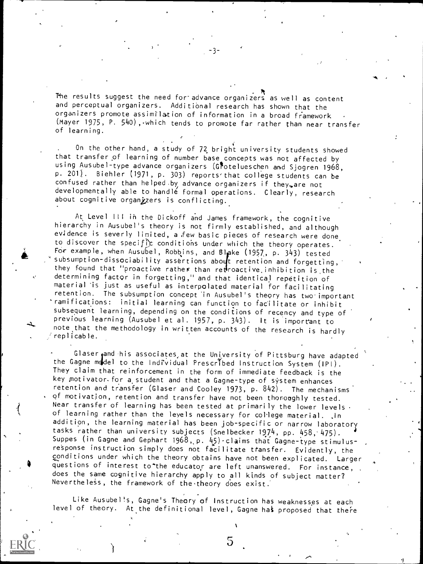The results suggest the need for advance organizers as well as content and perceptual organizers. Additional research has shown that the organizers promote assimilation of information in a broad framework (Mayer 1975, P. 540), which tends to promote far rather than near transfer of learning.

, . On the other hand, a study of 72, bright university students showed that transfer of learning of number base concepts was not affected by using Ausubel-type advance organizers (Glotelueschen and Sjogren 1968, p. 201). Biehler (1971, p. 303) reports'that college students can be confused rather than helped by advance organizers if they, are not developmentally able to handle formal operations. Clearly, research about cognitive organizers is conflicting.

At Level III in the Dickoff and James framework, the cognitive hierarchy in Ausubel's theory is not firmly established, and although evidence is severly limited, a ,few basic pieces of research were done to discover the specific conditions under which the theory operates. For example, when Ausubel, Robbins, and Blake (1957, p. 343) tested subsumption-dissociability assertions about retention and forgetting, they found that "proactive rather than retroactive inhibition is, the determining factor in forgetting," and that identical repetition of material is just as useful as interpolated material for facilitating retention. The subsumption concept 'in Ausubel's theory has two important 'ramifications: initial learning can function to facilitate or inhibit subsequent learning, depending on the conditions of recency and type of previous learning (Ausubel et al. 1957, p. 343). It is important to note that the methodology in written accounts of the research is hardly replicable.

Glaser and his associates at the University of Pittsburg have adapted the Gagne m4de1 to the Individual Prescribed Instruction System (IP1). They claim that reinforcement in the form of immediate feedback is the key motivator for a student and that a Gagne-type of system enhances retention and transfer (Glaser and Cooley 1973, p. 842). The mechanisms of motivation, retention and transfer have not been thoroughly tested. Near transfer of learning has been tested at primarily the lower levels of learning rather than the leyels necessary for college material. In addition, the learning material has been job-specific or narrow laboratory tasks rather than university subjects (Snelbecker 1974, pp. 458, 475). Suppes (in Gagne and Gephart 1968,,p. 45)- claims that Gagne-type stimulusresponse instruction simply does not facilitate transfer. Evidently, the conditions under which the theory obtains have not been explicated. Larger<br>questions of interest to the educator are left unanswered. For instance, does the same cognitive hierarchy apply to all kinds of subject matter? Nevertheless, the framework of the theory does exist.

Like Ausubel's, Gagne's Theory of Instruction has weaknesses at each level of theory. At the definitional level, Gagne has proposed that there

5

 $\ddot{\phantom{a}}$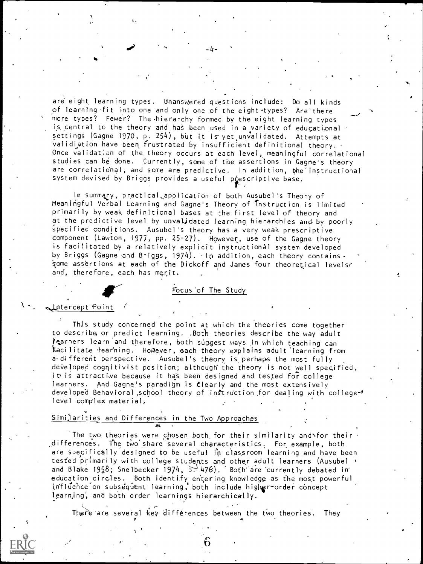are eight learning types. Unanswered questions include: Do all kinds of learning fit into one and only one of the eight types? Are there more types? Fewer? The.hierarchy formed by the eight learning types is central to the theory and has been used in a variety of educational settings (Gagne 1970, p. 254), but it is yet unvalidated. Attempts at validiation have been frustrated by insufficient definitional theory. Once validation of the theory occurs at each level, meaningful correlational studies can be done. Currently, some of the assertions in Gagne's theory are correlational, and some are predictive. In addition, the instructional system devised by Briggs provides a useful prescriptive base.

-4-

(

In summary, practical,appiication of both Ausubel's Theory of Meaningful Verbal Learning and Gagne's Theory of Instruction is limited primarily by weak definitional bases at the first level of theory and at the predictive level by unvaljdated learning hierarchies and by poorly specified conditions. Ausubel's theory has a very weak prescriptive component (Lawton, 1977, pp. 25-27). However, use of the Gagne theory is facilitated by a relatively explicit instructional system developed by Briggs (Gagne and Briggs, 1974). In addition, each theory contains some assertions at each of the Dickoff and James four theoretical levelse and, therefore, each has merit.

# Focus' of The Study

#### intercept Point

This study concerned the point at which the theories come together to describe or predict learning. ,Both theories describe the way adult Jearners learn and therefore, both suggest ways in which teaching can facilitate learning. However, each theory explains adult learning from a-different perspective. Ausubel's theory is, perhaps the most fully developed cognitivist position; although the theory is not well specified, it is attractive because it has been designed and tested for college learners. And Gagne's paradigm is dlearly and the most extensively developed Behavioral school theory of instruction for dealing with college-' level complex material.

# Similarities and Differences in the Two Approaches

Jtc:.

The two theories were chosen both for their similarity and\for their \_differences. the two' share several characteristics. For example, both are specifically designed to be useful in classroom learning and have been tested primarily with college students and other adult learners (Ausubel  $\prime$ and Blake 1958; Snelbecker 1974,  $p$ , 476). Both are currently debated in education circles. Both identify entering knowledge as the most powerful influence on subsequent learning, both include higher-order concept learning', and both order learnings hierarchically.

There are several key differences between the two theories. They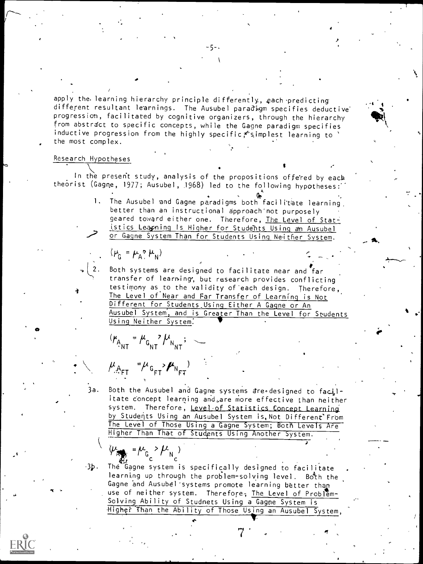apply the. learning hierarchy principle differently, each predicting different resultant learnings. The Ausubel paradigm specifies deductive progression, facilitated by cognitive organizers, through the hierarchy from abstract to specific concepts, while the Gagne paradigm specifies inductive progression from the highly specific  $\zeta$  simplest learning to ' the most complex.

- <sub>77</sub>.

4

#### Research Hypotheses

 $\lambda$  and  $\lambda$ In the present study, analysis of the propositions offered by each theorist (Gagne, 1977; Ausubel, 1968) led to the following hypotheses:

> 1. The Ausubel and Gagne paradigms both facilitate learning. better than an instructional approach'not purposely geared toward either one. Therefore, The Level of Statistics Leapninq Is Higher for Students Using an Ausubel or Gagne System Than for Students Using Neither System.

 $(\mu_{\rm G} = \mu_{\rm A} \gamma \mu_{\rm N})$ 

(2. Both systems are designed to facilitate near and far transfer of learning, but research provides conflicting testimony as to the validity of each design. Therefore, The Level of Near and Far Transfer of Learning is Not Different for Students Using Either A Gagne or An Ausubel System, and is Greater Than the Level for Students Using Neither System:

 $G_{\text{NT}}$  ,  $G_{\text{NT}}$  ,  $N_{\text{NT}}$  ,  $\sim$ 

 $\mu_{A_{\text{FT}}}$   $\mu_{G_{\text{FT}}}$ ,  $\mu_{N_{\text{FT}}}$ 

3a. Both the Ausubel and Gagne systems are designed to facilitate concept learning and,are more effective than neither system. Therefore, Level of Statistics Concept Learning by Students Using an Ausubel System is, Not Different'From The Level of Those Using a Gagne System; Both Levels Are Higher Than That of Students Using Another System.

 $\sum_{k}$  = $\mu_{\rm G}$  > $\mu_{\rm N_c}$ 

31). The Gagne system is specifically designed to facilitate learning up through the problem-solving level. Both the Gagne and Ausubel'systems promote learning better than use of neither system. Therefore, The Level of Problem-Solving Ability of Studnets Using a Gagne System is Higher Than the Ability of Those Using an Ausubel System,

 $\mathcal{L}$ 

 $\mathbf{r}$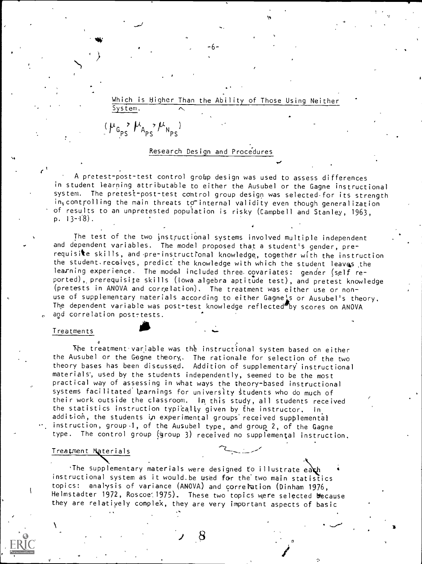Which is Higher Than the Ability of Those Using Neither System.

#### Research Design and Procedures

 $(\mu_{G_{PS}}^{\bullet}$ ,  $\mu_{A_{PS}}^{\bullet}$ ,  $\mu_{N_{PS}}^{\bullet}$ 

A pretest-post-test control grobp design was used to assess differences in student learning attributable to either the Ausubel or the Gagne instructional system. The pretest-post-test control group design was selected-for its strength intcontrolling the main threats to internal validity even though generalization of results to an unpretested population is risky (Campbell and Stanley, 1963, p.  $13 - 18$ .

The test of the two instructional systems involved multiple independent and dependent variables. The model proposed that a student's gender, prerequisite skills, and pre-instructional knowledge, together with the instruction the student. recaives, predict the knowledge with which the student leaves the learning experience. The model included three. covariates: gender (self reported),,prerequisite skills (Iowa algebra aptitude test), and pretest knowledge (pretests in ANOVA and correlation). The treatment was either use or nonuse of supplementary materials according to either Gagnels or Ausubel's theory, The dependent variable was post-test knowledge reflected by scores on ANOVA and correlation post-tests.

#### **Treatments**

The treatment variable was the instructional system based on either the Ausubel or the Gagne theory,. The rationale for selection of the two theory bases has been discussed. Addition of supplementary' instructional materials', used by the students independently, seemed to be the most practical way of assessing in What ways the theory-based instructional systems facilitated learnings for university students who do much of their work outside the classroom. In this study, all students received the statistics instruction typically given by the instructor, In addition, the students in experimental groups' received supplemental instruction, group 1, of the Ausubel type, and group 2, of the Gagne type. The control group (group 3) received no supplemental instruction.

#### Treatment Materials

'The supplementary materials were designed to illustrate each instructional system as it would.be Used for the'two main statistics topics: analysis of variance (ANOVA) and correlation (Dinham 1976, Helmstadter 1972, Roscoe 1975). These two topics were selected because they are relatiyely complek, they are very important aspects of basic

e

 $\sim$  -/  $\sim$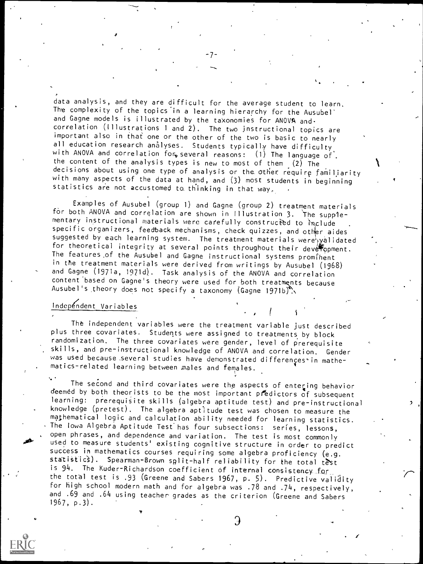data analysis, and they are difficult for the average student to learn. The complexity of the topics'in a learning hierarchy for the Ausubel' and Gagne models is illustrated by the taxonomies for ANOVA andcorrelation (Illustrations <sup>1</sup> and 2). The two instructional topics are important also in that one or the other of the two is basic to nearly all education research analyses. Students typically have difficulty with ANOVA and correlation for, several reasons: (1) The language of. the content of the analysis types is new to most of them (2) The decisions about using one type of analysis or the other require familiarity with many aspects of the data at hand, and (3) most students in beginning statistics are not accustomed to thinking in that way.

-7-

Examples of Ausubel (group 1) and Gagne (group 2) treatment materials for both ANOVA and correlation are shown in Illustration 3. The supple-<br>mentary instructional materials were carefully constructed to faclude specific organizers, feedback mechanisms, check quizzes, and other aides suggested by each learning system. The treatment materials were  $\frac{1}{2}$  alidated for theoretical integrity at several points throughout their deveropment. The features.of the Ausubel and Gagne instructional systems prominent in the treatment materials were derived from writings by Ausubel (1968) and Gagne (1971a, 1971d). Task analysis of the ANOVA and correlation content based on Gagne's theory were used for both treatments because Ausubel's theory does not specify a taxonomy (Gagne 1971b).

# Independent Variables

The independent variables were the treatment variable just described plus three covariates. Students were assigned to treatments by block randomization. The three covariates were gender, level of prerequisite skills, and pre-instructional knowledge of ANOVA and correlation. Gender was used because several studies have demonstrated differençes' in mathematics-related learning between males and females.

 $\prime$  (  $\prime$ 

The second and third covariates were the aspects of entering behavior deemed by both theorists to be the most important predictors of subsequent learning: prerequisite skills (algebra aptitude test) and pre-instructional knowledge (pretest). The algebra aptitude test was chosen to measure the mathematical logic and calculation ability needed for learning statistics. The Iowa Algebra Aptitude Test has four subsections: series, lessons, open phrases, and dependence and variation. The test is most commonly used to measure students' existing cognitive structure in order to predict success in mathematics courses requiring some algebra proficiency (e.g. statistics). Spearman-Brown split-half reliability for the total test is 94. The Kuder-Richardson coefficient of internal consistency for the total test is .93 (Greene and Sabers 1967, p. 5). Predictive validity for high school modern math and for algebra was .78 and .74, respectively, and .69 and .64 using teacher. grades as the criterion (Greene and Sabers 1967, p.3).



o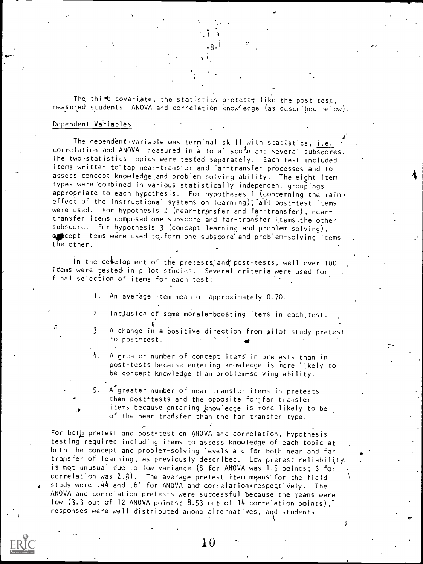The third covariate, the statistics pretest; like the post-test, measured students' ANOVA and correlation knowledge (as described below).

#### Dependent Variables

 $\cdots$ 

The dependent variable was terminal skill with statistics, i.e. correlation and ANOVA, measured in a total scole and several subscores. The two statistics topics were tested separately. Each test included items written to tap near-transfer and far-transfer processes and to assess concept knowledge.and problem solving ability. The eight item types were 'combined in various statistically independent groupings appropriate to each hypothesis. For hypotheses 1 (concerning the main. effect of the instructional systems on learning),  $\widehat{A}N$  post-test items were used. For hypothesis 2 (near-transfer and far-transfer), neartransfer items composed one subscore and far-transfer items- the other subscore. For hypothesis 3 (concept learning and problem solving), accept items were used to form one subscore and problem-solving items the other.

In the development of the pretests ane post-tests, well over 100 items were tested in pilot studies. Several criteria were used for final selection of items for each test:

1. An average item mean of approximately 0.70.

- 2. Inclusion of some morale-boosting items in each test.
- . 3. A change in a positive direction from pilot study pretest to post-test. 4
- 4. A greater number of concept items in pretests than in post-tests because entering knowledge is-more likely to be concept knowledge than problem-solving ability.

5. A'greater number of near transfer items in pretests than post<sup>+</sup>tests and the opposite for-far transfer items because entering knowledge is more likely to be of the near transfer than the far transfer type.

For both pretest and post-test on ANOVA and correlation, hypothesis testing required including items to assess knowledge of each topic at both the concept and problem-solving levels and for both near and far transfer of learning, as previously described. Low pretest reliability, is not unusual due to low variance (S for ANOVA was 1.5 points; S for correlation was  $2.3$ ). The average pretest item means' for the field study were .44 and .61 for ANOVA and correlation respectively. The ANOVA and correlation pretests were successful because the means were low (3.3 out of 12 ANOVA points; 8.53 out of 14 correlation points), responses were well distributed among alternatives, and students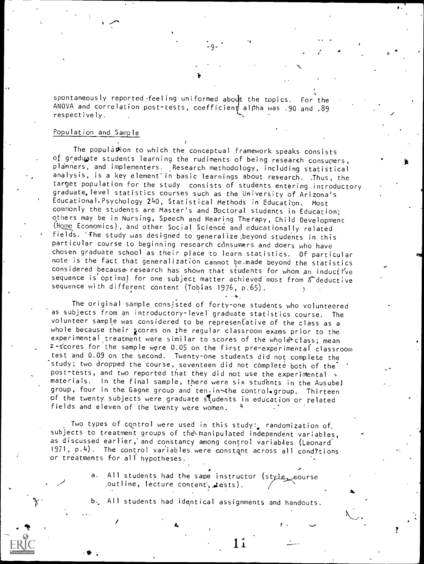spontaneously reported feeling uniformed about the topics. For the ANOVA and correlation post-tests, coefficien  $\sharp$  alpha was .90 and .89 respectively.

3

 $\frac{1}{4}$ -9- $\frac{1}{4}$ 

No. of the Contract of the Contract of the Contract of the Contract of the Contract of the Contract of the Contract of the Contract of the Contract of the Contract of the Contract of the Contract of the Contract of the Con

#### Population and Sample

The population to which the conceptual framework speaks consists of graduate students learning the rudiments of being research consumers, planners, and implementers. Research methodology, inclUding statistical analysis, is a key element in basic learnings about research. . Thus, the target population for the study consists of students entering introductory graduate, level statistics courses such as the University of Arizona's Educational.Psychology 240, Statistical Methods in Education. Most commonly the students are Master's and Doctoral students in Education; others may be in Nursing, Speech and Hearing Therapy, Child Development (Nome Economics), and other Social Science and educationally related fields. 'The study was designed to generalize ,beyond students in this particular course to beginning research consumers and doers who have chosen graduate school as their place 'to learn statistics. Of particular note is the fact that generalization cannot be.made beyond the statistics considered because research has shown that students for whom an inductive sequence is optimal for one subject matter achieved most from a deductive sequence with different content (Tobias 1976, p.65).

The original sample consisted of forty-one students who volunteered as subjects from an introductory-level graduate statistics course. The volunteer sample was considered to be representative of the class as a whole because their scores on the regular classroom exams prior to the experimental treatment were similar to scores of the whole class; mean z- scores for the sample were 0.05 on the first pre-experimental classroom test and 0.09 on the second. Twenty-one students did not complete the study; two dropped the course, seventeen did not complete both of the post-tests, and two reported that they did not use the experimental v materials. In the final sample, there were six students in the Ausubel group, four in the Gagne group and ten. in the control group. Thirteen of the twenty subjects were graduate students in education or related fields and eleven of the twenty were women.

Two types of control were used in this study: randomization of. subjects to treatment groups of the manipulated independent variables, as discussed earlier, and constancy among control variables (Leonard 1971, p.4). The control variables were constant across all cond?tions or treatments for all hypotheses.

> a. All students had the same instructor (style eourse in the same of the same of the second second s ,outline, lecture content, tests).

b, All students had identical assignments and handouts.

1ï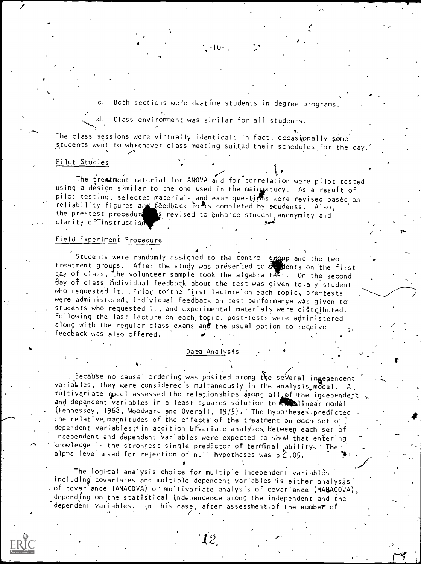c. Both sections were daytime students in degree programs

 $-10-$ 

Class environment was similar for all students.

tion of the control of the con-

The class sessions were virtually identical; in fact, occasionally some students went to whichever class meeting suited their schedules for the day.'

#### Pilot Studies

 $\mathbf{r}$  and  $\mathbf{r}$ 

 $\overline{111}$ 

The treatment material for ANOVA and for correlation were pilot tested using a design similar to the one used in the maigstudy. As a result of pilot testing, selected materials and exam questions were revised based on the selected materials and came and reliability figures and feedback forms completed by students. Also, the pre-test procedures is revised to enhance student anonymity and clarity of instruction

#### Field Experiment Procedure

Students were randomly assigned to the control group and the two states and the two states of  $\sim$ treatment groups. After the study was presented to steel that the first day of class, the volunteer sample took the algebra test. On the second day of class individual feedback about the test was given to any student who requested it. . Prior to the first lecture on each topic, pre-tests were administered, individual feedback on test performance was given to students who requested it, and experimental materials were distributed. Following the last lecture on each topic, post-tests were administered along with the regular class exams and the usual option to receive feedback was also offered.

4

#### Data Analysis

 $J = 1$ 

 $\mathbf{z} \in \mathbb{R}^{\mathcal{N}}$ 

r-

Because no causal ordering was posited among the several independent variables, they were considered simultaneously in the analysis model. A multivariate model assessed the relationships among all of the independent  $\sqrt{2}$ and dependent variables in a least squares solution to the linear model (Fennessey, 1968, Woodward and Overall, 1975). The hypotheses predicted the relative magnitudes of the effects of the treatment on each set of dependent variables; ' in addition bivariate analyses, between each set of independent and dependent variables were expected to show that entering knowledge is the strongest single predictor of terminal ability, The alpha level used for rejection of null hypotheses was  $p \stackrel{k}{\leq} .05$ .

The logical analysis choice for multiple independent variablès including' covariates and multiple dependent variables 'is either analysis  $\sim$  of covariance (ANACOVA) or multivariate analysis of covariance (MANACOVA), depending on the statistical independence among the independent and the dependent variables. In this case, after assessment of the number of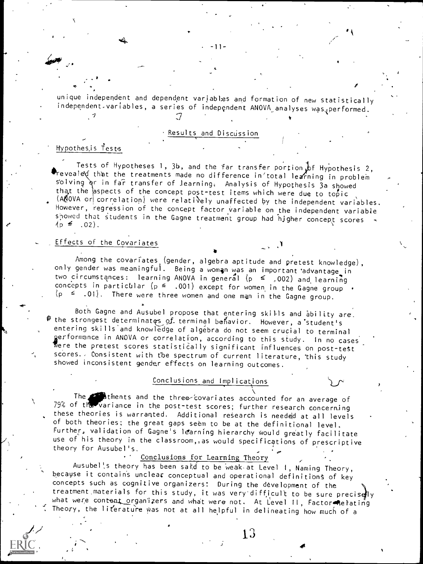unique independent and dependent variables and formation of new statistically independent variables, a series of independent ANOVA analyses was performed.

-11

4

## Results and Discussion

# qypothes,is Tests

Tests of Hypotheses 1, 3b, and the far transfer portion of Hypothesis 2,<br>Teveale that the treatments made no difference in'total learning in problem solving or in far transfer of learning. Analysis of Hypothesis 3a showed that the aspects of the concept post-test items which were due to topic  $(A \mathcal{N}$ OVA or correlation) were relatively unaffected by the independent variables. However, regression of the concept factor variable on the independent variable showed that students in the Gagne treatment group had hjgher concept scores -

# Effects of the Covariates

Among the covariates (gender, algebra aptitude and pretest knowledge), only gender was meaningful. Being a woman was an important advantage in two circumstances: learning ANOVA in general  $(p \leq 0.002)$  and learning concepts in particular ( $p \leq 1.001$ ) except for women in the Gagne group  $(p \leq .01)$ . There were three women and one man in the Gagne group.

Both Gagne and Ausubel propose that entering skills and ability are\_ the strongest determinates of terminal behavior. However, a student's entering skills and knowledge of algebra do not seem crucial to terminal gerformance in ANOVA or correlation, according to this study. In no cases Were the pretest scores statistically significant influences on post-test scores.. Consistent with the spectrum of current literature, this study showed inconsistent gender effects on learning outcomes.

# Conclusions and Implications

The Clients and the three-covariates accounted for an average of 79% of the variance in the post-test scores; further research concerning these theories is warranted. Additional research is needed at all levels of both theories; the great gaps seem to be at the definitional level. Further, validation of Gagne<sup>i</sup>s learning hierarchy would greatly facilitate use of his theory in the classroom, as would specifications of prescriptive theory for Ausubel's.

## Conclusions for Learning Theory

Ausubel's theory has been said to be weak at Level I, Naming Theory, because it contains unclear conceptual and operational definitions of key concepts such as cognitive organizers: During the development of the treatment materials for this study, it was very difficult to be sure precisely what were content organizers and what were not. At Level II, Factor Relating Theory, the literature was not at all helpful in delineating how much of a

13

4

 $\mathcal{L}$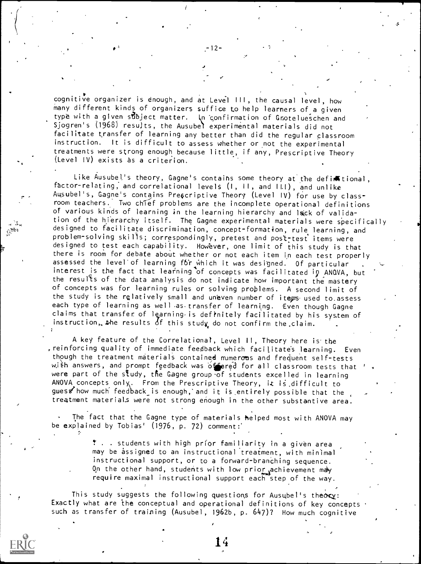cognitive organizer is enough, and at Level III, the causal level, how many different kinds of organizers suffice to help learners of a given type with a given stibject matter. In confirmation of Gnotelueschen and Sjogren's (1968) results, the Ausubel experimental materials did not facilitate transfer of learning any better than did the regular classroom instruction. It is difficult to assess whether or not the experimental treatments were strong enough because little, if any, Prescriptive Theory (Level IV) exists as a criterion.

 $\mathcal{J}$  is a set of  $\mathcal{J}$ 

 $-12-$ 

77 - Paul III - Paul III - Paul II - Paul II - Paul II - Paul II - Paul II - Paul II - Paul II - Paul II - Pau

 $\mathbf{e}^{A_{\text{max}}}$  is a set of  $\mathbb{R}^{n \times n}$ 

Like Ausubel's theory, Gagne's contains some theory at the defi痛tional, factor-relating, and correlational levels (I, II, and III), and unlike Ausubel's, Gagne's contains Prescriptive Theory (Level IV) for use by classroom teachers. Two chief problems are the incomplete operational definitions of various kinds of learning in the learning hierarchy and lack of validation of the hierarchy itself. The Gagne experimental materials were specifically designed to facilitate discrimination, concept-formation, rule learning, and problem-solving skills; correspondingly, pretest and post-test items were designed to test each capability. However, one limit of this study is that there is room for debate about whether or not each item in each test properly assessed the level of learning for which it was designed. Of particular interest is the fact that learning of concepts was facilitated in ANQVA, but the results of the data analysis do not indicate how important the mastery of concepts was for learning rules or solving problems. A second limit of the study is the relatively small and uneven number of items used to assess each type of learning as well as transfer of learning. Even though Gagne claims that transfer of learning is definitely facilitated by his system of instruction, the results of this study do not confirm the claim.

A key feature of the Correlational, Level 11, Theory here is the , reinforcing quality of immediate feedback which facilitates learning. Even though the treatment materials contained numerous and frequent self-tests with answers, and prompt feedback was of ered for all classroom tests that were part of the study, the Gagne group of students excelled in learning ANOVA concepts only. From the Prescriptive Theory, it is difficult to guess how much feedback is enough, and it is entirely possible that the treatment materials were not strong enough in the other substantive area.

The fact that the Gagne type of materials helped most with ANOVA may be explained by Tobias' (1976, p. 72) comment:

> . . students with high prior familiarity in a given area may be assigned to an instructional treatment, with minimal instructional support, or to a forward-branching sequence. On the other hand, students with low prior achievement may require maximal instructional support each step of the way.

This study suggests the following questions for Ausubel's theory: Exactly what are the conceptual and operational definitions of key concepts such as transfer of training (Ausubel, 1962b, p. 647)? How much cognitive

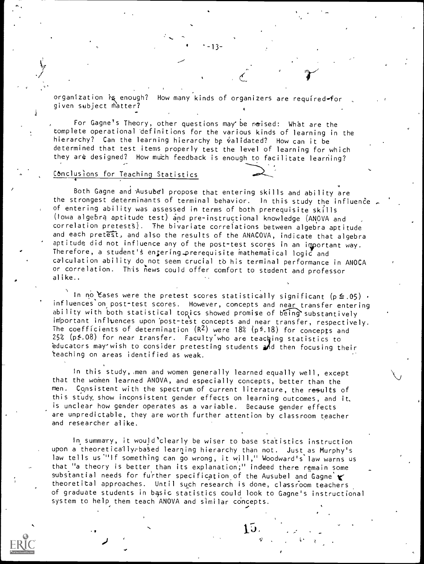organization is enough? How many kinds of organizers are required-for given subject Matter?

-13-

 $\epsilon$  and the set of  $\epsilon$ 

For Gagne's Theory, other questions may be reaised: What are the complete operational definitions for the various kinds of learning in the hierarchy? Can the learning hierarchy be validated? How can it be determined that test items properly test the level of learning for which they are designed? How much feedback is enough to facilitate learning?

#### C6nclusions for Teaching Statistics

Both Gagne and Ausubel propose that entering skills and ability are the strongest determinants of terminal behavior. In this study the influence of entering ability was assessed in terms of both prerequisite skills (Iowa algebra aptitude test) and pre-instructional knowledge (ANOVA and correlation pretests). The bivariate correlations between algebra aptitude and each pretest, and also the results of the ANACOVA, indicate that algebra aptitude did not influence any of the post-test scores in an important way. Therefore, a student's engering prerequisite mathematical logic and calculation ability do not seem crucial to his terminal performance in ANOCA or correlation. This news could offer comfort to student and professor alike..

In no Eases were the pretest scores statistically significant ( $p \le .05$ ). influences'on post-test scores. However, concepts and near transfer entering ability with both statistical topics showed promise of being substantively important inflvences upon 'post-test concepts and near transfer, respectively. The coefficients of determination  $(R^2)$  were 18% (p<sup>2</sup>.18) for concepts and  $25\%$  (p $\leq$ .08) for near transfer. Faculty'who are teaching statistics to educators may' wish to consider pretesting students and then focusing their `teaching on areas identified as weak.

In this study, men and women generally learned equally well, except that the women learned ANOVA, and especially concepts, better than the men. Consistent with the spectrum of current literature, the results of this study, show inconsistent gender effects on learning outcomes, and it, is unclear how gender operates as a variable. Because gender effects are unpredictable, they are worth further attention by classroom teacher and researcher alike.

In summary, it would'clearly be wiser to base statistics instruction upon a theoretically-based learning hierarchy than not. Just as Murphy's law tells us."If something can go wrong, it will," Woodward's law warns us that "a theory is better than its explanation;" indeed there remain some substantial needs for further specification of the Ausubel and Gagne  $\cdot$ theoretical approaches. Until such research is done, classroom teachers of graduate students in basic statistics could look to Gagne's instructional system to help them teach ANOVA and similar concepts.

 $\mathbf{H}$ 

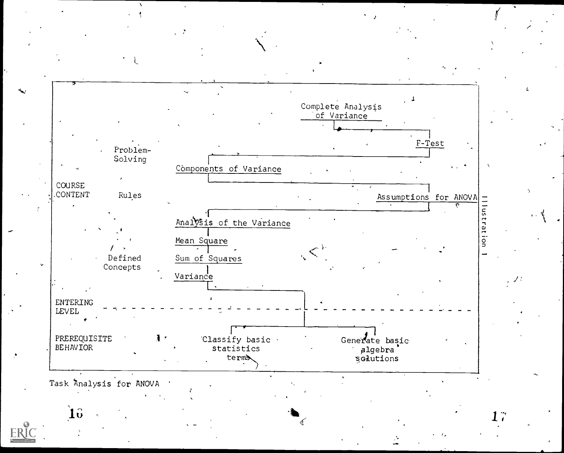

Task Analysis for ANOVA

 $10$ 

ERIC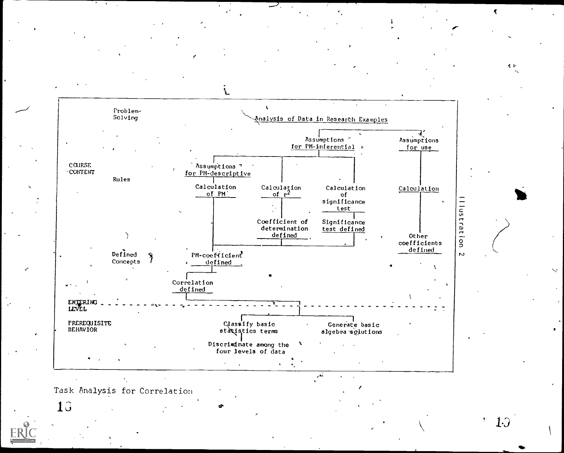

llustration

そる

Task Analysis for Correlation

13

 $1<sub>0</sub>$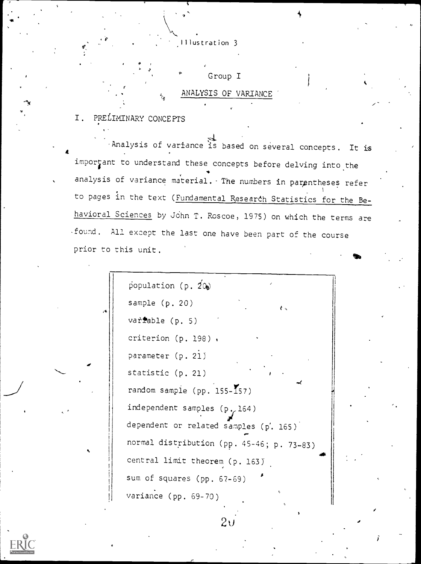Illustration 3

Group I ANALYSIS OP VARIANCE

I. PRELIMINARY CONCEPTS

 $\blacksquare$ Analysis of variance is based on several concepts. It is important to understand these concepts before delving into the analysis of variance material. The numbers in parentheses refer to pages in the text (Fundamental Research Statistics for the Behavioral Sciences by John T. Roscoe, 1975) on which the terms are -found. All except the last one have been part of the course prior to this unit.

population (p.  $2\omega$ ) sample (p. 20) varfable (p. 5) criterion (p. 198) . parameter (p. 21) statistic (p. 21) random sample (pp.  $155-\sqrt{57}$ ) independent samples  $(p, 164)$ dependent or related samples  $(p'$ . 165)  $\overline{a}$  glubban  $\overline{a}$ normal distribution (pp. 45-46; p. 73-83) central limit theorem (p. 163) sum of squares (pp. 67-69) variance (pp. 69-70)



 $2\mathfrak{c}$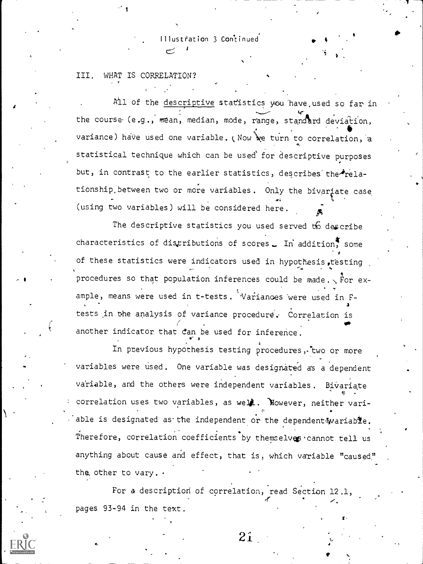Illustration 3 Continued

#### III. WHAT IS CORRELATION?

All of the descriptive statistics you have used so far in the course (e.g., mean, median, mode, range, standard deviation, variance) have used one variable. (Now we turn to correlation, a statistical technique which can be used for descriptive purposes but, in contrast to the earlier statistics, describes the relationship between two or more variables. Only the bivariate case (using two variables) will be considered here.

The descriptive statistics you used served to describe characteristics of distributions of scores. In addition, some of these statistics were indicators used in hypothesis, testing procedures so that population inferences could be made.  $\sqrt{r}$  for example, means were used in t-tests. Variances were used in Ftests in the analysis of variance procedure. Correlation is another indicator that can be used for inference.

In previous hypothesis testing procedures, two or more variables were used. One variable was designated as a dependent variable, and the others were independent variables. Bivariate correlation uses two variables, as well. Nowever, neither variable is designated as the independent or the dependent wariable. Therefore, correlation coefficients by themselves cannot tell us anything about cause and effect, that is, which variable "caused" the other to vary. .

For a description of correlation, read Section 12.1, pages 93-94 in the text.

 $2i$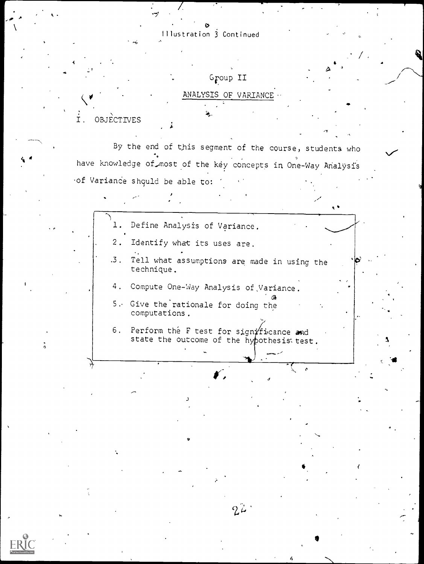$\mathfrak{O}$  and  $\mathfrak{O}$ Illustration 3 Continued

 $\mathcal{I}$  and  $\mathcal{I}$ 

# Group II

# ANALYSIS OF VARIANCE

OBJECTIVES  $I.$ 

By the end of this segment of the course, students who have knowledge of most of the key concepts in One-Way Analysis of Variance shquld be able to:

t

**p** and the second

- 1. Define Analysis of Variance.
- 2. Identify what its uses are.
- .3. Tell what assumptions are made in using the technique.
- 4. Compute One-Way Analysis of,Variance.
- 5.. Give the rationale for doing the computations.
- 6. Perform the F test for significance and state the outcome of the hypothesis test.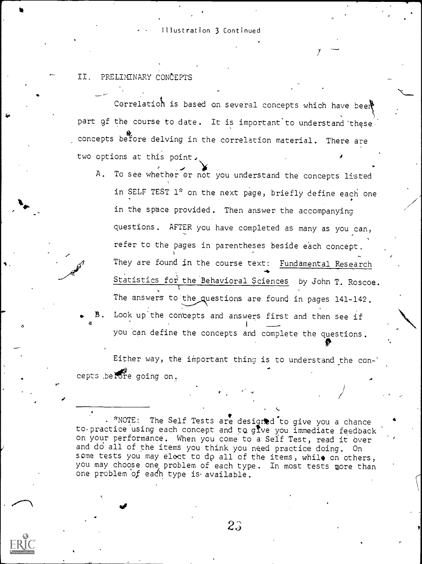#### Illustration 3 Continued

# II. PRELIMINARY CONCEPTS

 $\delta$  and  $\delta$ 

Correlation is based on several concepts which have beer part of the course to date. It is important to understand these. concepts before delving in the correlation material. There are two options at this point.

7

A. To see whether or not you understand the concepts listed in SELF TEST 1\* on the next page, briefly define each one in the space provided. Then answer the accompanying questions. AFTER you have completed as many as you can, refer to the pages in parentheses beside each concept. They are found in the course text: Fundamental Research re, Statistics for the Behavioral Sciences by John T. Roscoe. The answers to the questions are found in pages 141-142. Look up the concepts and answers first and then see if

you can define the concepts and complete the questions.

Either way, the important thing is to understand the concepts , before going on.

\*NOTE: The Self Tests are designed to give you a chance to practice using each concept and to give you immediate feedback on your performance. When you come to a Self Test, read it over and do all of the items you think you need practice doing. On some tests you may elect to do all of the items, while on others, you may choose one problem of each type. In most tests more than one problem of each type is available.

**c** contract the contract of the contract of the contract of the contract of the contract of the contract of the contract of the contract of the contract of the contract of the contract of the contract of the contract of t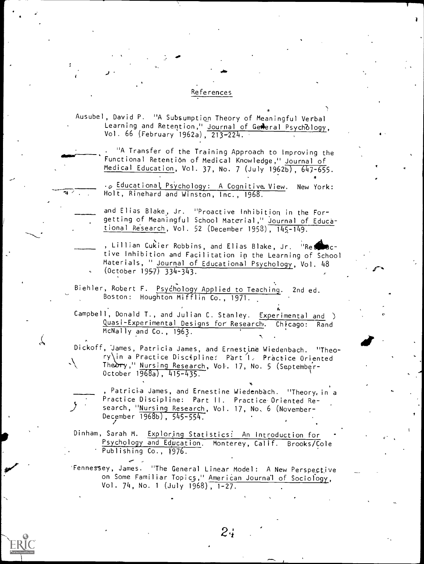#### References

Ausubel, David P. "A Subsumption Theory of Meaningful Verbal Learning and Retention," <u>Journal of Gewe</u>ral Psychology, Vol. 66 (February 1962a), 213-224.

. "A Transfer of the Training Approach to Improving the Functional Retention of Medical Knowledge," Journal of Medical Education, Vol. 37, No. 7 (July 1962b), 647-655.

.<sub>0</sub> Educational Psychology: A Cognitive View. New York: Holt, Rinehard and Winston, Inc., 1968.

4

and Elias Blake, Jr. "Proactive Inhibition in the Forgetting of Meaningful School Material," Journal of Educational Research, Vol. 52 (December 1958), 145-149.

- , Lillian Cukier Robbins, and Elias Blake, Jr. "Reseactive Inhibition and Facilitation in the Learning of School Materials, " Journal of Educational Psychology, Vol. 48  $(October 1957) 334-343.$
- Biehler, Robert F. Psychology Applied to Teaching. 2nd ed. Boston: Houghton Mifflin Co., 1971.

Campbell, Donald T., and Julian C. Stanley. Experimental and ) Quasi-Experimental Designs for Research,. Chicago: Rand McNally and Co., 1963.

Dickoff, James, Patricia James, and Ernestine Wiedenbach. "Theory in a Practice Discipline: Part 1. Practice Oriented  $\sqrt{ }$ Theory," Nursing Research, Vol. 17, No. 5 (September-October 1968a), 415-435.

 $\Delta$  -  $\Delta$  -  $\Delta$ 

Patricia James, and Ernestine Wiedenbach. "Theory, in a Practice Discipline: Part II. Practice Oriented Research, "Nursing Research, Vol. 17, No. 6 (November-December 1968b), 545-554.

Dinham, Sarah M. Exploring Statistics: An Introduction for - Psychology and Education. Monterey, Calif. Brooks/Cole Publishing Co., 1976.

'Fennessey, James. "The General Linear Model: A New Perspective on Some Familiar Topics," American Journal of Sociology, Vol. 74, No. <sup>1</sup> (July 1968), 1-27.

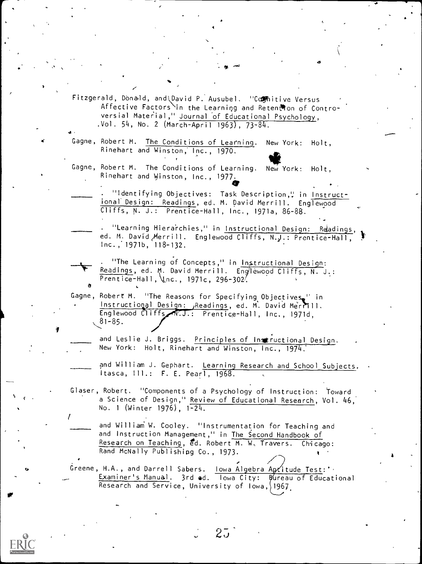Fitzgerald, Donald, and Uavid P. Ausubel. "Comhitive Versus Affective Factors in the Learning and Retention of Controversial Material," Journal of Educational Psychology, .Vol. 54, No. 2 (March-April 1963), 73-84.

4

Gagne, Robert M. The Conditions of Learning. New York: Holt, Rinehart and Winston,' Inc., 1970.

Gagne, Robert M. The Conditions of Learning. New York: Holt, Rinehart and Winston, Inc., 1977.

"Identifying Objectives: Task Description," in Instructional Design: Readings, ed. M. David Merrill. Englewood Cliffs, N. J.: Prentice-Hall, Inc., 1971a, 86-88.

.

 $\ddot{\phantom{0}}$ 

"Learning Hierarchies," in Instructional Design: Readings, ed. M. David Merrill. Englewood Cliffs, N.J.: Prentice-Hall, Inc.; 1971b, 118-132.

"The Learning of Concepts," in Instructional Design: Readings, ed. M. David Merrill. Englewood Cliffs, N. J.: Prentice-Hall, \Inc., 1971c, 296-302.  $\alpha$ 

Gagne, Robert M. "The Reasons for Specifying Objectivese" in Instructional Design: Readings, ed. M. David Merrill. Englewood Cliffs N.J.: Prentice-Hall, Inc., 1971d, 81-85.

and Leslie J. Briggs. Principles of Instructional Design. New York: Holt, Rinehart and Winston, Inc., 1974.

and William J. Gephart. Learning Research and School Subjects. Itasca, Ill.: F. E. Pearl, 1968.

Glaser, Robert. "Components of a Psychology of Instruction: Toward a Science of Design," Review of Educational Research, Vol. 46, No. <sup>1</sup> (Winter 1976), 1-24.

and William W. Cooley. "Instrumentation for Teaching and and Instruction Management," in The Second Handbook of Research on Teaching, ed. Robert M. W. Travers. Chicago: Rand McNally Publishing Co., 1973.

Greene, H.A., and Darrell Sabers. Iowa Algebra Aptitude Test:'. Examiner's Manual. 3rd ed. lowa City: Bureau of Educational Research and Service, University of Iowa, 1967

**Of** the state

 $\mathbf{c}$ 

 $44.4$  and  $44.4$